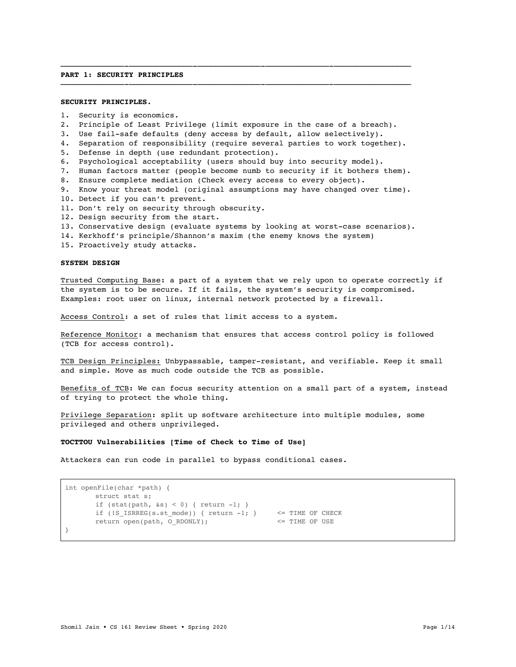## **PART 1: SECURITY PRINCIPLES**

## **SECURITY PRINCIPLES.**

- 1. Security is economics.
- 2. Principle of Least Privilege (limit exposure in the case of a breach).
- 3. Use fail-safe defaults (deny access by default, allow selectively).
- 4. Separation of responsibility (require several parties to work together).

——————————————-——————————————-——————————————-——————————————-—————————————————

——————————————-——————————————-——————————————-——————————————-—————————————————

- 5. Defense in depth (use redundant protection).
- 6. Psychological acceptability (users should buy into security model).
- 7. Human factors matter (people become numb to security if it bothers them).
- 8. Ensure complete mediation (Check every access to every object).
- 9. Know your threat model (original assumptions may have changed over time).
- 10. Detect if you can't prevent.
- 11. Don't rely on security through obscurity.
- 12. Design security from the start.
- 13. Conservative design (evaluate systems by looking at worst-case scenarios).
- 14. Kerkhoff's principle/Shannon's maxim (the enemy knows the system)
- 15. Proactively study attacks.

## **SYSTEM DESIGN**

Trusted Computing Base: a part of a system that we rely upon to operate correctly if the system is to be secure. If it fails, the system's security is compromised. Examples: root user on linux, internal network protected by a firewall.

Access Control: a set of rules that limit access to a system.

Reference Monitor: a mechanism that ensures that access control policy is followed (TCB for access control).

TCB Design Principles: Unbypassable, tamper-resistant, and verifiable. Keep it small and simple. Move as much code outside the TCB as possible.

Benefits of TCB: We can focus security attention on a small part of a system, instead of trying to protect the whole thing.

Privilege Separation: split up software architecture into multiple modules, some privileged and others unprivileged.

### **TOCTTOU Vulnerabilities [Time of Check to Time of Use]**

Attackers can run code in parallel to bypass conditional cases.

```
int openFile(char *path) {
      struct stat s;
      if (stat(path, \&s) < 0) { return -1; }
      if (!S_I ISRREG(s.st_mode)) { return -1; } <= TIME OF CHECK
      return open(path, O_RDONLY); <= TIME OF USE
}
```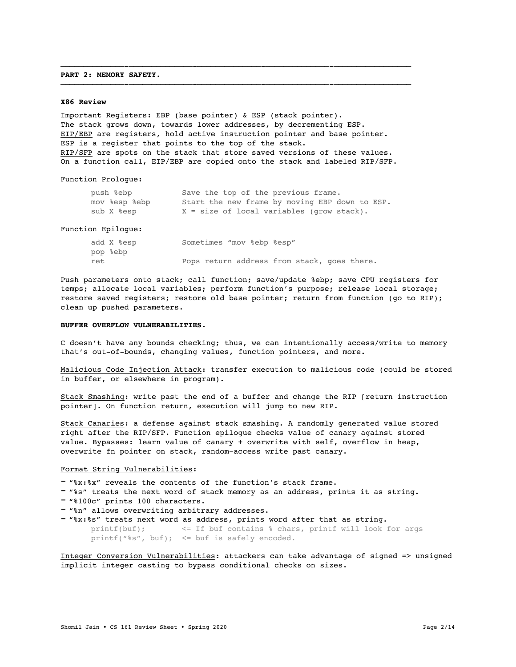### **PART 2: MEMORY SAFETY.**

#### **X86 Review**

Important Registers: EBP (base pointer) & ESP (stack pointer). The stack grows down, towards lower addresses, by decrementing ESP. EIP/EBP are registers, hold active instruction pointer and base pointer. ESP is a register that points to the top of the stack. RIP/SFP are spots on the stack that store saved versions of these values. On a function call, EIP/EBP are copied onto the stack and labeled RIP/SFP.

——————————————-——————————————-——————————————-——————————————-—————————————————

——————————————-——————————————-——————————————-——————————————-—————————————————

Function Prologue:

| push %ebp     | Save the top of the previous frame.            |
|---------------|------------------------------------------------|
| mov %esp %ebp | Start the new frame by moving EBP down to ESP. |
| sub X %esp    | $X = size of local variables (grow stack).$    |

### Function Epilogue:

|     | add X %esp | Sometimes "mov %ebp %esp" |  |                                             |  |
|-----|------------|---------------------------|--|---------------------------------------------|--|
|     | pop %ebp   |                           |  |                                             |  |
| ret |            |                           |  | Pops return address from stack, goes there. |  |

Push parameters onto stack; call function; save/update %ebp; save CPU registers for temps; allocate local variables; perform function's purpose; release local storage; restore saved registers; restore old base pointer; return from function (go to RIP); clean up pushed parameters.

## **BUFFER OVERFLOW VULNERABILITIES.**

C doesn't have any bounds checking; thus, we can intentionally access/write to memory that's out-of-bounds, changing values, function pointers, and more.

Malicious Code Injection Attack: transfer execution to malicious code (could be stored in buffer, or elsewhere in program).

Stack Smashing: write past the end of a buffer and change the RIP [return instruction pointer]. On function return, execution will jump to new RIP.

Stack Canaries: a defense against stack smashing. A randomly generated value stored right after the RIP/SFP. Function epilogue checks value of canary against stored value. Bypasses: learn value of canary + overwrite with self, overflow in heap, overwrite fn pointer on stack, random-access write past canary.

## Format String Vulnerabilities:

- "%x:%x" reveals the contents of the function's stack frame.
- "%s" treats the next word of stack memory as an address, prints it as string.
- "%100c" prints 100 characters.
- "%n" allows overwriting arbitrary addresses.
- "%x:%s" treats next word as address, prints word after that as string. printf(buf); <= If buf contains % chars, printf will look for args printf("%s", buf);  $\leq$  buf is safely encoded.

Integer Conversion Vulnerabilities: attackers can take advantage of signed => unsigned implicit integer casting to bypass conditional checks on sizes.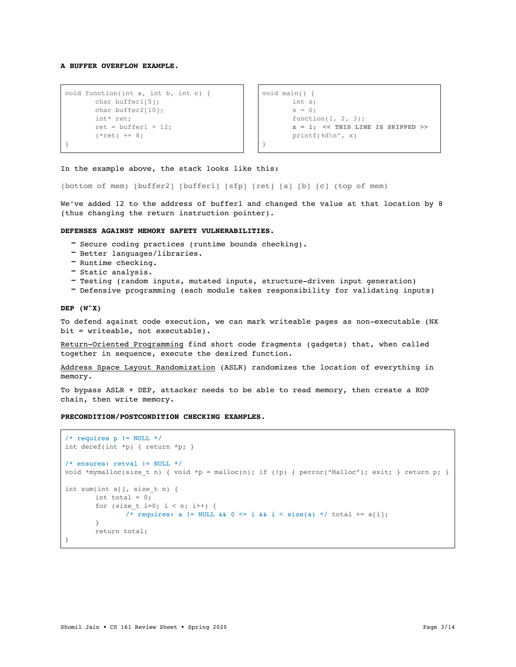**A BUFFER OVERFLOW EXAMPLE.**

```
void function(int a, int b, int c) { 
       char buffer1[5];
       char buffer2[10];
       int* ret;
       ret = buffer1 + 12;(*ret) += 8;}
```

```
void main() {
       int x;
       x = 0;function(1, 2, 3);x = 1; << THIS LINE IS SKIPPED >>
       printf(%d\n", x)
}
```
In the example above, the stack looks like this:

(bottom of mem) [buffer2] [buffer1] [sfp] [ret] [a] [b] [c] (top of mem)

We've added 12 to the address of buffer1 and changed the value at that location by 8 (thus changing the return instruction pointer).

### **DEFENSES AGAINST MEMORY SAFETY VULNERABILITIES.**

- Secure coding practices (runtime bounds checking).
- Better languages/libraries.
- Runtime checking.
- Static analysis.
- Testing (random inputs, mutated inputs, structure-driven input generation)
- Defensive programming (each module takes responsibility for validating inputs)

#### **DEP (W^X)**

To defend against code execution, we can mark writeable pages as non-executable (NX bit = writeable, not executable).

Return-Oriented Programming find short code fragments (gadgets) that, when called together in sequence, execute the desired function.

Address Space Layout Randomization (ASLR) randomizes the location of everything in memory.

To bypass ASLR + DEP, attacker needs to be able to read memory, then create a ROP chain, then write memory.

# **PRECONDITION/POSTCONDITION CHECKING EXAMPLES.**

```
/* requires p != NULL */int deref(int *p) { return *p; }
/* ensures: retval != NULL */
void *mymalloc(size_t n) { void *p = malloc(n); if (!p) { perror("Malloc"); exit; } return p; }
int sum(int a[], size_t n) { 
       int total = 0;for (size_t i=0; i < n; i++) {
               /* requires: a != NULL && 0 \le i && i \le size(a) */ total += a[i];
       }
       return total;
}
```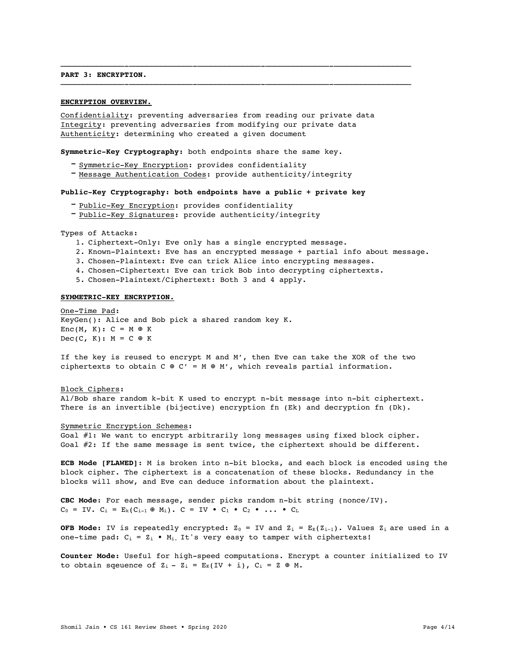## **PART 3: ENCRYPTION.**

## **ENCRYPTION OVERVIEW.**

Confidentiality: preventing adversaries from reading our private data Integrity: preventing adversaries from modifying our private data Authenticity: determining who created a given document

——————————————-——————————————-——————————————-——————————————-—————————————————

——————————————-——————————————-——————————————-——————————————-—————————————————

**Symmetric-Key Cryptography:** both endpoints share the same key.

- Symmetric-Key Encryption: provides confidentiality
- Message Authentication Codes: provide authenticity/integrity

### **Public-Key Cryptography: both endpoints have a public + private key**

- Public-Key Encryption: provides confidentiality
- Public-Key Signatures: provide authenticity/integrity

Types of Attacks:

- 1. Ciphertext-Only: Eve only has a single encrypted message.
- 2. Known-Plaintext: Eve has an encrypted message + partial info about message.
- 3. Chosen-Plaintext: Eve can trick Alice into encrypting messages.
- 4. Chosen-Ciphertext: Eve can trick Bob into decrypting ciphertexts.
- 5. Chosen-Plaintext/Ciphertext: Both 3 and 4 apply.

# **SYMMETRIC-KEY ENCRYPTION.**

One-Time Pad: KeyGen(): Alice and Bob pick a shared random key K.  $Enc(M, K): C = M \oplus K$  $Dec(C, K): M = C \oplus K$ 

If the key is reused to encrypt M and M', then Eve can take the XOR of the two ciphertexts to obtain  $C \oplus C' = M \oplus M'$ , which reveals partial information.

## Block Ciphers:

Al/Bob share random k-bit K used to encrypt n-bit message into n-bit ciphertext. There is an invertible (bijective) encryption fn (Ek) and decryption fn (Dk).

### Symmetric Encryption Schemes:

Goal #1: We want to encrypt arbitrarily long messages using fixed block cipher. Goal #2: If the same message is sent twice, the ciphertext should be different.

**ECB Mode [FLAWED]**: M is broken into n-bit blocks, and each block is encoded using the block cipher. The ciphertext is a concatenation of these blocks. Redundancy in the blocks will show, and Eve can deduce information about the plaintext.

**CBC Mode**: For each message, sender picks random n-bit string (nonce/IV).  $C_0 = IV$ .  $C_i = E_k(C_{i-1} \oplus M_i)$ .  $C = IV \bullet C_1 \bullet C_2 \bullet \dots \bullet C_L$ 

**OFB Mode:** IV is repeatedly encrypted:  $Z_0 = IV$  and  $Z_i = E_K(Z_{i-1})$ . Values  $Z_i$  are used in a one-time pad:  $C_i = Z_i \bullet M_i$ . It's very easy to tamper with ciphertexts!

**Counter Mode:** Useful for high-speed computations. Encrypt a counter initialized to IV to obtain sqeuence of  $Z_i - Z_i = E_K(IV + i)$ ,  $C_i = Z \oplus M$ .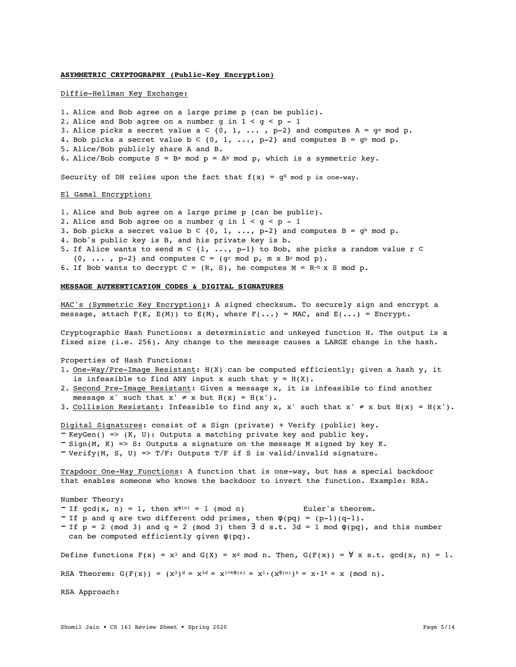## **ASYMMETRIC CRYPTOGRAPHY (Public-Key Encryption)**

### Diffie-Hellman Key Exchange:

1. Alice and Bob agree on a large prime p (can be public). 2. Alice and Bob agree on a number g in  $1 < g < p - 1$ 3. Alice picks a secret value  $a \subset \{0, 1, \ldots, p-2\}$  and computes  $A = g^a \mod p$ . 4. Bob picks a secret value  $b \subset \{0, 1, \ldots, p-2\}$  and computes  $B = g^b \mod p$ . 5. Alice/Bob publicly share A and B. 6. Alice/Bob compute S = B<sup>a</sup> mod p = A<sup>b</sup> mod p, which is a symmetric key. Security of DH relies upon the fact that  $f(x) = g^x \mod p$  is one-way.

### El Gamal Encryption:

- 1. Alice and Bob agree on a large prime p (can be public).
- 2. Alice and Bob agree on a number g in  $1 < g < p 1$
- 3. Bob picks a secret value  $b \subset \{0, 1, \ldots, p-2\}$  and computes  $B = g^b \mod p$ .
- 4. Bob's public key is B, and his private key is b.
- 5. If Alice wants to send m ⊂ {1, ..., p-1} to Bob, she picks a random value r ⊂
- $\{0, \ldots, p-2\}$  and computes  $C = (qr \mod p, m \times Br \mod p)$ .
- 6. If Bob wants to decrypt  $C = (R, S)$ , he computes  $M = R^{-b} \times S$  mod p.

### **MESSAGE AUTHENTICATION CODES & DIGITAL SIGNATURES**

MAC's (Symmetric Key Encryption): A signed checksum. To securely sign and encrypt a message, attach  $F(K, E(M))$  to  $E(M)$ , where  $F(\ldots) = MAC$ , and  $E(\ldots) = Encrypt$ .

Cryptographic Hash Functions: a deterministic and unkeyed function H. The output is a fixed size (i.e. 256). Any change to the message causes a LARGE change in the hash.

Properties of Hash Functions:

- 1. One-Way/Pre-Image Resistant: H(X) can be computed efficiently; given a hash y, it is infeasible to find ANY input x such that  $y = H(X)$ .
- 2. Second Pre-Image Resistant: Given a message x, it is infeasible to find another message x' such that  $x' \neq x$  but  $H(x) = H(x')$ .
- 3. Collision Resistant: Infeasible to find any x, x' such that  $x' \neq x$  but  $H(x) = H(x')$ .

Digital Signatures: consist of a Sign (private) + Verify (public) key.

- KeyGen() =>  $(K, U)$ : Outputs a matching private key and public key.

 $-$  Sign(M, K) => S: Outputs a signature on the message M signed by key K.

 $-$  Verify(M, S, U) => T/F: Outputs T/F if S is valid/invalid signature.

Trapdoor One-Way Functions: A function that is one-way, but has a special backdoor that enables someone who knows the backdoor to invert the function. Example: RSA.

Number Theory: - If  $gcd(x, n) = 1$ , then  $x^{\varphi(n)} = 1 \pmod{n}$  Euler's theorem. - If p and q are two different odd primes, then  $\varphi$ (pq) = (p-1)(q-1). - If  $p = 2 \pmod{3}$  and  $q = 2 \pmod{3}$  then  $\exists d s.t. 3d = 1 \pmod{\phi(pq)}$ , and this number can be computed efficiently given φ(pq). Define functions  $F(x) = x^3$  and  $G(X) = x^d$  mod n. Then,  $G(F(x)) = \forall x$  s.t.  $gcd(x, n) = 1$ . RSA Theorem:  $G(F(x)) = (x^3)^d = x^{3d} = x^{1+k}\varphi(n) = x^1 \cdot (x\varphi(n))k = x \cdot 1k = x \pmod{n}$ . RSA Approach: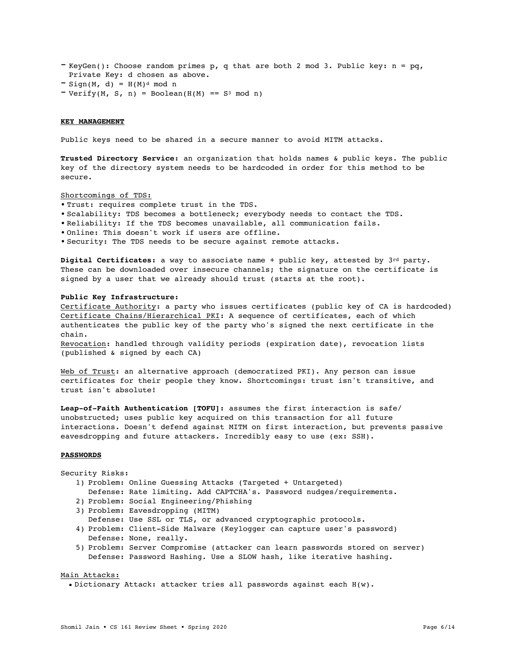- KeyGen(): Choose random primes p, q that are both 2 mod 3. Public key:  $n = pq$ , Private Key: d chosen as above.
- $=$  Sign(M, d) =  $H(M)^d$  mod n
- $-$  Verify(M, S, n) = Boolean(H(M) == S<sup>3</sup> mod n)

### **KEY MANAGEMENT**

Public keys need to be shared in a secure manner to avoid MITM attacks.

**Trusted Directory Service:** an organization that holds names & public keys. The public key of the directory system needs to be hardcoded in order for this method to be secure.

## Shortcomings of TDS:

- **•** Trust: requires complete trust in the TDS.
- **•** Scalability: TDS becomes a bottleneck; everybody needs to contact the TDS.
- **•** Reliability: If the TDS becomes unavailable, all communication fails.
- **•** Online: This doesn't work if users are offline.
- **•** Security: The TDS needs to be secure against remote attacks.

**Digital Certificates:** a way to associate name + public key, attested by 3rd party. These can be downloaded over insecure channels; the signature on the certificate is signed by a user that we already should trust (starts at the root).

## **Public Key Infrastructure:**

Certificate Authority: a party who issues certificates (public key of CA is hardcoded) Certificate Chains/Hierarchical PKI: A sequence of certificates, each of which authenticates the public key of the party who's signed the next certificate in the chain.

Revocation: handled through validity periods (expiration date), revocation lists (published & signed by each CA)

Web of Trust: an alternative approach (democratized PKI). Any person can issue certificates for their people they know. Shortcomings: trust isn't transitive, and trust isn't absolute!

**Leap-of-Faith Authentication [TOFU]:** assumes the first interaction is safe/ unobstructed; uses public key acquired on this transaction for all future interactions. Doesn't defend against MITM on first interaction, but prevents passive eavesdropping and future attackers. Incredibly easy to use (ex: SSH).

# **PASSWORDS**

### Security Risks:

1) Problem: Online Guessing Attacks (Targeted + Untargeted)

- Defense: Rate limiting. Add CAPTCHA's. Password nudges/requirements. 2) Problem: Social Engineering/Phishing
- 
- 3) Problem: Eavesdropping (MITM)
- Defense: Use SSL or TLS, or advanced cryptographic protocols.
- 4) Problem: Client-Side Malware (Keylogger can capture user's password) Defense: None, really.
- 5) Problem: Server Compromise (attacker can learn passwords stored on server) Defense: Password Hashing. Use a SLOW hash, like iterative hashing.

#### Main Attacks:

• Dictionary Attack: attacker tries all passwords against each H(w).